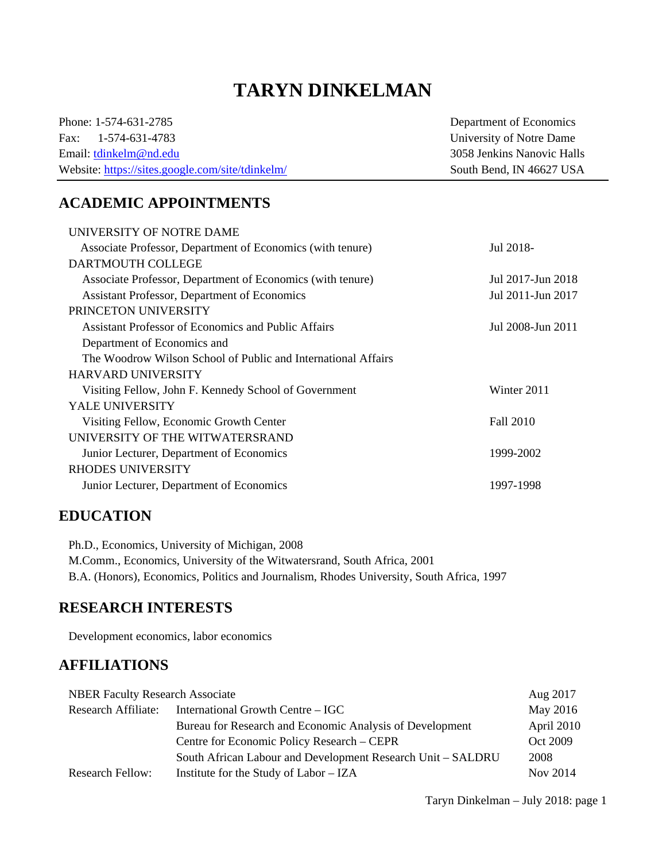# **TARYN DINKELMAN**

Phone: 1-574-631-2785 Department of Economics Fax: 1-574-631-4783 University of Notre Dame Email: tdinkelm@nd.edu 3058 Jenkins Nanovic Halls Website: https://sites.google.com/site/tdinkelm/ South Bend, IN 46627 USA

# **ACADEMIC APPOINTMENTS**

| UNIVERSITY OF NOTRE DAME                                      |                   |
|---------------------------------------------------------------|-------------------|
| Associate Professor, Department of Economics (with tenure)    | Jul 2018-         |
| DARTMOUTH COLLEGE                                             |                   |
| Associate Professor, Department of Economics (with tenure)    | Jul 2017-Jun 2018 |
| Assistant Professor, Department of Economics                  | Jul 2011-Jun 2017 |
| PRINCETON UNIVERSITY                                          |                   |
| <b>Assistant Professor of Economics and Public Affairs</b>    | Jul 2008-Jun 2011 |
| Department of Economics and                                   |                   |
| The Woodrow Wilson School of Public and International Affairs |                   |
| <b>HARVARD UNIVERSITY</b>                                     |                   |
| Visiting Fellow, John F. Kennedy School of Government         | Winter 2011       |
| <b>YALE UNIVERSITY</b>                                        |                   |
| Visiting Fellow, Economic Growth Center                       | Fall 2010         |
| UNIVERSITY OF THE WITWATERSRAND                               |                   |
| Junior Lecturer, Department of Economics                      | 1999-2002         |
| <b>RHODES UNIVERSITY</b>                                      |                   |
| Junior Lecturer, Department of Economics                      | 1997-1998         |
|                                                               |                   |

# **EDUCATION**

Ph.D., Economics, University of Michigan, 2008 M.Comm., Economics, University of the Witwatersrand, South Africa, 2001 B.A. (Honors), Economics, Politics and Journalism, Rhodes University, South Africa, 1997

### **RESEARCH INTERESTS**

Development economics, labor economics

# **AFFILIATIONS**

| <b>NBER Faculty Research Associate</b> |                                                             | Aug 2017   |
|----------------------------------------|-------------------------------------------------------------|------------|
| Research Affiliate:                    | International Growth Centre – IGC                           | May 2016   |
|                                        | Bureau for Research and Economic Analysis of Development    | April 2010 |
|                                        | Centre for Economic Policy Research – CEPR                  | Oct 2009   |
|                                        | South African Labour and Development Research Unit – SALDRU | 2008       |
| <b>Research Fellow:</b>                | Institute for the Study of Labor – IZA                      | Nov 2014   |

Taryn Dinkelman – July 2018: page 1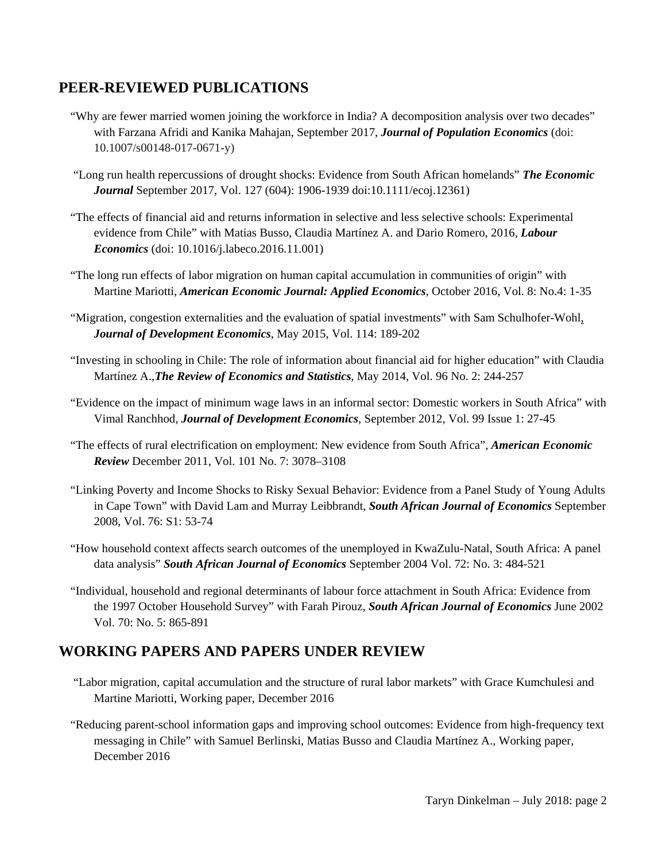# **PEER-REVIEWED PUBLICATIONS**

- "Why are fewer married women joining the workforce in India? A decomposition analysis over two decades" with Farzana Afridi and Kanika Mahajan, September 2017, *Journal of Population Economics* (doi: 10.1007/s00148-017-0671-y)
- "Long run health repercussions of drought shocks: Evidence from South African homelands" *The Economic Journal* September 2017, Vol. 127 (604): 1906-1939 doi:10.1111/ecoj.12361)
- "The effects of financial aid and returns information in selective and less selective schools: Experimental evidence from Chile" with Matias Busso, Claudia Martínez A. and Dario Romero, 2016, *Labour Economics* (doi: 10.1016/j.labeco.2016.11.001)
- "The long run effects of labor migration on human capital accumulation in communities of origin" with Martine Mariotti, *American Economic Journal: Applied Economics,* October 2016, Vol. 8: No.4: 1-35
- "Migration, congestion externalities and the evaluation of spatial investments" with Sam Schulhofer-Wohl, *Journal of Development Economics*, May 2015, Vol. 114: 189-202
- "Investing in schooling in Chile: The role of information about financial aid for higher education" with Claudia Martínez A.,*The Review of Economics and Statistics*, May 2014, Vol. 96 No. 2: 244-257
- "Evidence on the impact of minimum wage laws in an informal sector: Domestic workers in South Africa" with Vimal Ranchhod, *Journal of Development Economics*, September 2012, Vol. 99 Issue 1: 27-45
- "The effects of rural electrification on employment: New evidence from South Africa", *American Economic Review* December 2011, Vol. 101 No. 7: 3078–3108
- "Linking Poverty and Income Shocks to Risky Sexual Behavior: Evidence from a Panel Study of Young Adults in Cape Town" with David Lam and Murray Leibbrandt, *South African Journal of Economics* September 2008, Vol. 76: S1: 53-74
- "How household context affects search outcomes of the unemployed in KwaZulu-Natal, South Africa: A panel data analysis" *South African Journal of Economics* September 2004 Vol. 72: No. 3: 484-521
- "Individual, household and regional determinants of labour force attachment in South Africa: Evidence from the 1997 October Household Survey" with Farah Pirouz, *South African Journal of Economics* June 2002 Vol. 70: No. 5: 865-891

# **WORKING PAPERS AND PAPERS UNDER REVIEW**

- "Labor migration, capital accumulation and the structure of rural labor markets" with Grace Kumchulesi and Martine Mariotti, Working paper, December 2016
- "Reducing parent-school information gaps and improving school outcomes: Evidence from high-frequency text messaging in Chile" with Samuel Berlinski, Matias Busso and Claudia Martínez A., Working paper, December 2016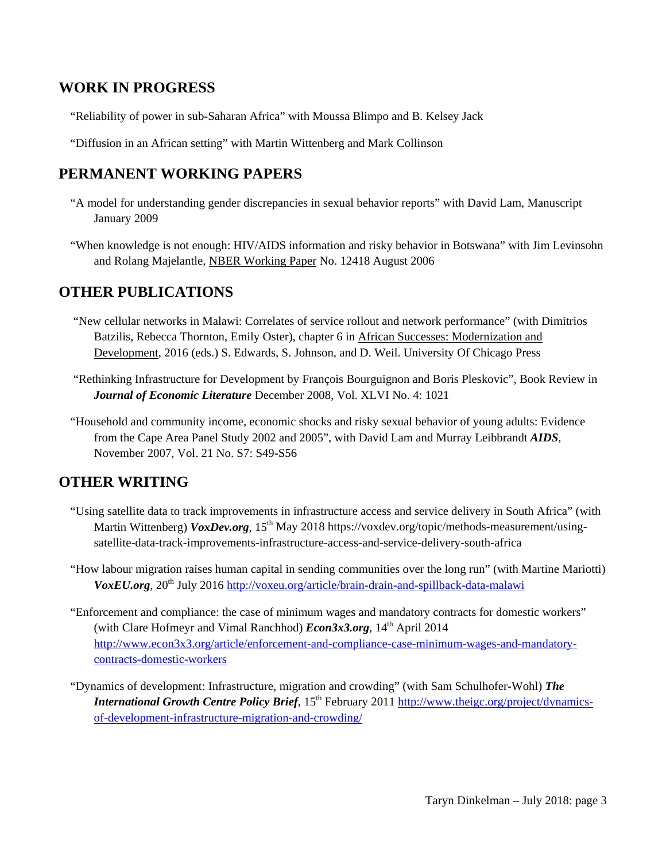### **WORK IN PROGRESS**

"Reliability of power in sub-Saharan Africa" with Moussa Blimpo and B. Kelsey Jack

"Diffusion in an African setting" with Martin Wittenberg and Mark Collinson

# **PERMANENT WORKING PAPERS**

- "A model for understanding gender discrepancies in sexual behavior reports" with David Lam, Manuscript January 2009
- "When knowledge is not enough: HIV/AIDS information and risky behavior in Botswana" with Jim Levinsohn and Rolang Majelantle, NBER Working Paper No. 12418 August 2006

# **OTHER PUBLICATIONS**

- "New cellular networks in Malawi: Correlates of service rollout and network performance" (with Dimitrios Batzilis, Rebecca Thornton, Emily Oster), chapter 6 in African Successes: Modernization and Development, 2016 (eds.) S. Edwards, S. Johnson, and D. Weil. University Of Chicago Press
- "Rethinking Infrastructure for Development by François Bourguignon and Boris Pleskovic", Book Review in *Journal of Economic Literature* December 2008, Vol. XLVI No. 4: 1021
- "Household and community income, economic shocks and risky sexual behavior of young adults: Evidence from the Cape Area Panel Study 2002 and 2005", with David Lam and Murray Leibbrandt *AIDS*, November 2007, Vol. 21 No. S7: S49-S56

# **OTHER WRITING**

- "Using satellite data to track improvements in infrastructure access and service delivery in South Africa" (with Martin Wittenberg) *VoxDev.org*, 15<sup>th</sup> May 2018 https://voxdev.org/topic/methods-measurement/usingsatellite-data-track-improvements-infrastructure-access-and-service-delivery-south-africa
- "How labour migration raises human capital in sending communities over the long run" (with Martine Mariotti) *VoxEU.org*, 20<sup>th</sup> July 2016 http://voxeu.org/article/brain-drain-and-spillback-data-malawi
- "Enforcement and compliance: the case of minimum wages and mandatory contracts for domestic workers" (with Clare Hofmeyr and Vimal Ranchhod) *Econ3x3.org*, 14<sup>th</sup> April 2014 http://www.econ3x3.org/article/enforcement-and-compliance-case-minimum-wages-and-mandatorycontracts-domestic-workers
- "Dynamics of development: Infrastructure, migration and crowding" (with Sam Schulhofer-Wohl) *The International Growth Centre Policy Brief*, 15<sup>th</sup> February 2011 http://www.theigc.org/project/dynamicsof-development-infrastructure-migration-and-crowding/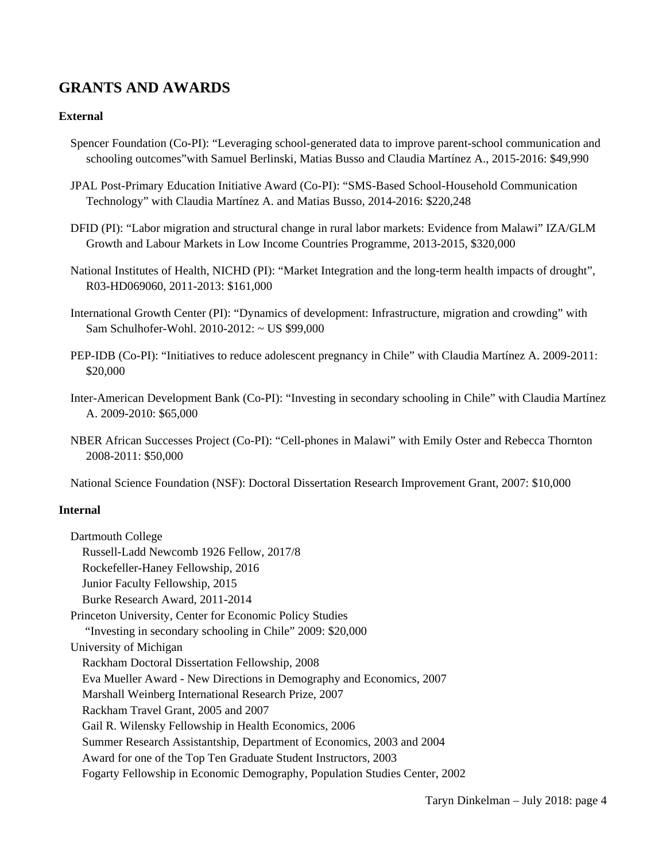# **GRANTS AND AWARDS**

#### **External**

- Spencer Foundation (Co-PI): "Leveraging school-generated data to improve parent-school communication and schooling outcomes"with Samuel Berlinski, Matias Busso and Claudia Martínez A., 2015-2016: \$49,990
- JPAL Post-Primary Education Initiative Award (Co-PI): "SMS-Based School-Household Communication Technology" with Claudia Martínez A. and Matias Busso, 2014-2016: \$220,248
- DFID (PI): "Labor migration and structural change in rural labor markets: Evidence from Malawi" IZA/GLM Growth and Labour Markets in Low Income Countries Programme, 2013-2015, \$320,000
- National Institutes of Health, NICHD (PI): "Market Integration and the long-term health impacts of drought", R03-HD069060, 2011-2013: \$161,000
- International Growth Center (PI): "Dynamics of development: Infrastructure, migration and crowding" with Sam Schulhofer-Wohl. 2010-2012: ~ US \$99,000
- PEP-IDB (Co-PI): "Initiatives to reduce adolescent pregnancy in Chile" with Claudia Martínez A. 2009-2011: \$20,000
- Inter-American Development Bank (Co-PI): "Investing in secondary schooling in Chile" with Claudia Martínez A. 2009-2010: \$65,000
- NBER African Successes Project (Co-PI): "Cell-phones in Malawi" with Emily Oster and Rebecca Thornton 2008-2011: \$50,000

National Science Foundation (NSF): Doctoral Dissertation Research Improvement Grant, 2007: \$10,000

#### **Internal**

| Dartmouth College                                                          |
|----------------------------------------------------------------------------|
| Russell-Ladd Newcomb 1926 Fellow, 2017/8                                   |
| Rockefeller-Haney Fellowship, 2016                                         |
| Junior Faculty Fellowship, 2015                                            |
| Burke Research Award, 2011-2014                                            |
| Princeton University, Center for Economic Policy Studies                   |
| "Investing in secondary schooling in Chile" 2009: \$20,000                 |
| University of Michigan                                                     |
| Rackham Doctoral Dissertation Fellowship, 2008                             |
| Eva Mueller Award - New Directions in Demography and Economics, 2007       |
| Marshall Weinberg International Research Prize, 2007                       |
| Rackham Travel Grant, 2005 and 2007                                        |
| Gail R. Wilensky Fellowship in Health Economics, 2006                      |
| Summer Research Assistantship, Department of Economics, 2003 and 2004      |
| Award for one of the Top Ten Graduate Student Instructors, 2003            |
| Fogarty Fellowship in Economic Demography, Population Studies Center, 2002 |
|                                                                            |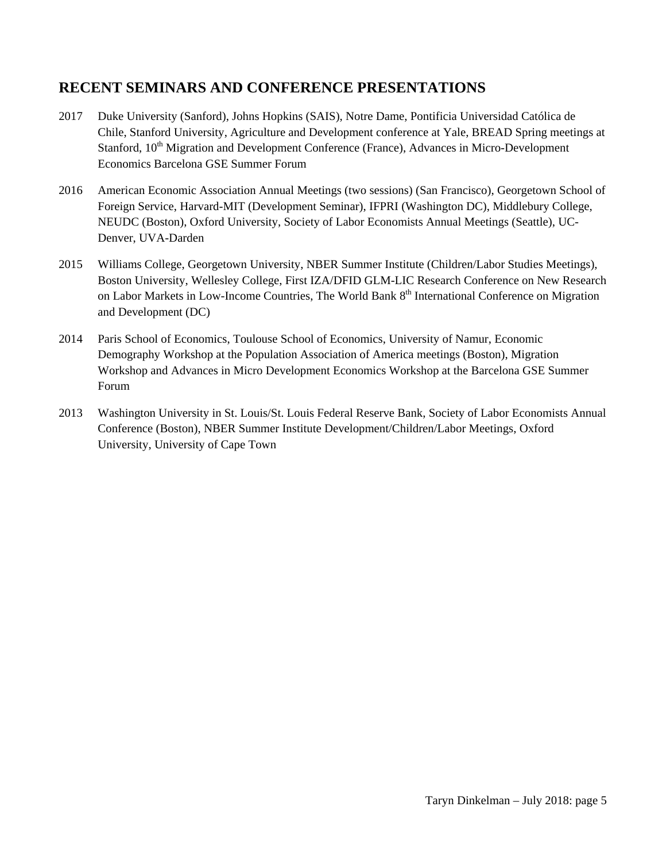# **RECENT SEMINARS AND CONFERENCE PRESENTATIONS**

- 2017 Duke University (Sanford), Johns Hopkins (SAIS), Notre Dame, Pontificia Universidad Católica de Chile, Stanford University, Agriculture and Development conference at Yale, BREAD Spring meetings at Stanford, 10<sup>th</sup> Migration and Development Conference (France), Advances in Micro-Development Economics Barcelona GSE Summer Forum
- 2016 American Economic Association Annual Meetings (two sessions) (San Francisco), Georgetown School of Foreign Service, Harvard-MIT (Development Seminar), IFPRI (Washington DC), Middlebury College, NEUDC (Boston), Oxford University, Society of Labor Economists Annual Meetings (Seattle), UC-Denver, UVA-Darden
- 2015 Williams College, Georgetown University, NBER Summer Institute (Children/Labor Studies Meetings), Boston University, Wellesley College, First IZA/DFID GLM-LIC Research Conference on New Research on Labor Markets in Low-Income Countries, The World Bank 8<sup>th</sup> International Conference on Migration and Development (DC)
- 2014 Paris School of Economics, Toulouse School of Economics, University of Namur, Economic Demography Workshop at the Population Association of America meetings (Boston), Migration Workshop and Advances in Micro Development Economics Workshop at the Barcelona GSE Summer Forum
- 2013 Washington University in St. Louis/St. Louis Federal Reserve Bank, Society of Labor Economists Annual Conference (Boston), NBER Summer Institute Development/Children/Labor Meetings, Oxford University, University of Cape Town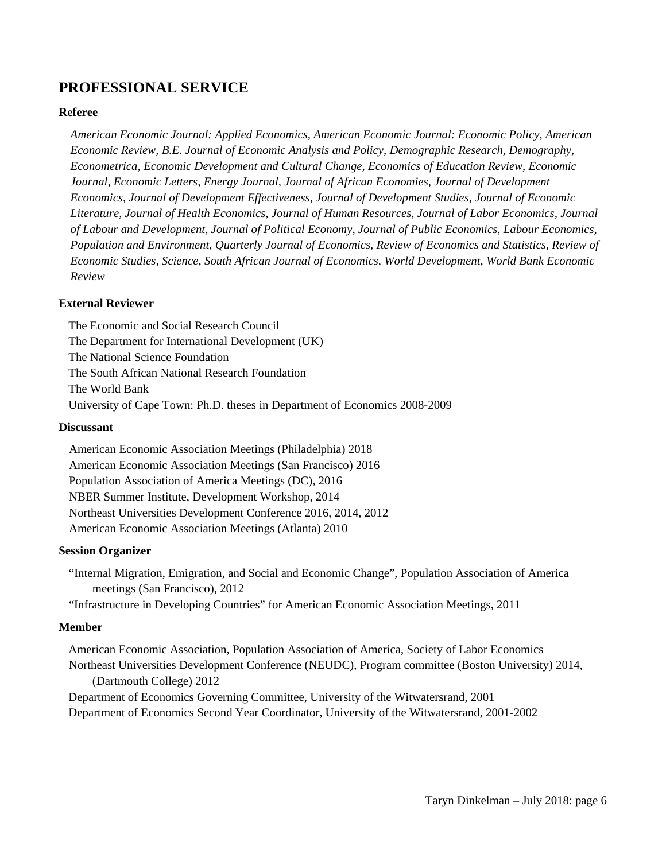# **PROFESSIONAL SERVICE**

#### **Referee**

*American Economic Journal: Applied Economics, American Economic Journal: Economic Policy, American Economic Review, B.E. Journal of Economic Analysis and Policy, Demographic Research, Demography, Econometrica, Economic Development and Cultural Change, Economics of Education Review, Economic Journal, Economic Letters, Energy Journal, Journal of African Economies, Journal of Development Economics, Journal of Development Effectiveness, Journal of Development Studies, Journal of Economic Literature, Journal of Health Economics, Journal of Human Resources, Journal of Labor Economics, Journal of Labour and Development, Journal of Political Economy, Journal of Public Economics, Labour Economics, Population and Environment, Quarterly Journal of Economics, Review of Economics and Statistics, Review of Economic Studies, Science, South African Journal of Economics*, *World Development, World Bank Economic Review*

#### **External Reviewer**

The Economic and Social Research Council The Department for International Development (UK) The National Science Foundation The South African National Research Foundation The World Bank University of Cape Town: Ph.D. theses in Department of Economics 2008-2009

#### **Discussant**

American Economic Association Meetings (Philadelphia) 2018 American Economic Association Meetings (San Francisco) 2016 Population Association of America Meetings (DC), 2016 NBER Summer Institute, Development Workshop, 2014 Northeast Universities Development Conference 2016, 2014, 2012 American Economic Association Meetings (Atlanta) 2010

#### **Session Organizer**

"Internal Migration, Emigration, and Social and Economic Change", Population Association of America meetings (San Francisco), 2012

"Infrastructure in Developing Countries" for American Economic Association Meetings, 2011

#### **Member**

American Economic Association, Population Association of America, Society of Labor Economics Northeast Universities Development Conference (NEUDC), Program committee (Boston University) 2014, (Dartmouth College) 2012

Department of Economics Governing Committee, University of the Witwatersrand, 2001 Department of Economics Second Year Coordinator, University of the Witwatersrand, 2001-2002